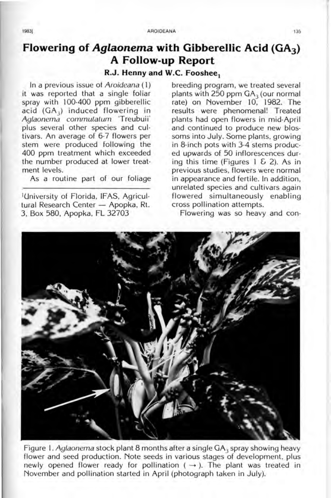## **Flowering of Aglaonema with Gibberellic Acid (GA3) A Follow-up Report**

## **R.J. Henny and W.C. Fooshee.**

In a previous issue of Aroideana (1) it was reported that a single foliar spray with 100-400 ppm gibberellic acid (GA<sub>3</sub>) induced flowering in Aglaonema commulalum Treubuii ' plus several other species and cultivars. An average of 6-7 flowers per stem were produced following the 400 ppm treatment which exceeded the number produced at lower treatment levels.

As a routine part of our foliage

'University 01 Florida, IFAS, Agricultural Research Center - Apopka, Rt. 3, Box 580, Apopka, FL 32703

breeding program, we treated several plants with 250 ppm  $GA<sub>3</sub>$  (our normal rate) on November 10, 1982. The results were phenomenal! Treated plants had open flowers in mid-April and continued to produce new blossoms into July. Some plants, growing in 8-inch pots with 3-4 stems produced upwards of 50 inflorescences during this time (Figures  $1 \& 2$ ). As in previous studies, flowers were normal in appearance and fertile. In addition, unrelated species and cultivars again flowered simultaneously enabling cross pollination attempts.

Flowering was so heavy and con-



Figure 1. Aglaonema stock plant 8 months after a single  $GA_3$  spray showing heavy flower and seed production. Note seeds in various stages of development, plus newly opened flower ready for pollination ( $\rightarrow$ ). The plant was treated in November and pollination started in April (photograph taken in July).